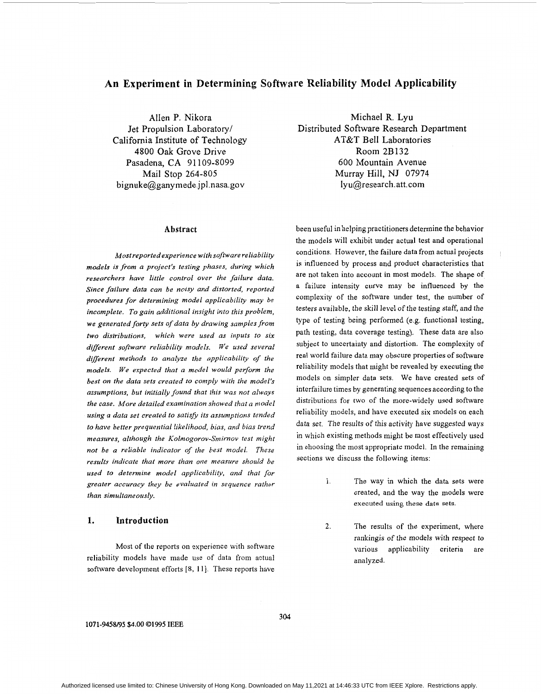# **An Experiment in Determining Software Reliability Model Applicability**

Allen P. Nikora Jet Propulsion Laboratory/ California Institute of Technology 4800 Oak Grove Drive Pasadena, CA 91 109-8099 Mail Stop 264-805 [bignuke@ganymede.jpl.nasa.gov](mailto:bignuke@ganymede.jpl.nasa.gov) 

### Abstract

*Mostreportedexperience with software reliability models is from a project's testing phases, during which researchers have little control over the failure data. Since failure data can be noisy and distorted, reported procedures for determining model applicability may be incomplete. To gain additional insight into this problem, we generatedforty sets of data by drawing samples from two distributions, which were used as inputs to six*  different software reliability models. We used several *diflerent methods to analyze the applicability of the models. We expected that a model would perform the best on the data sets created to comply with the model's assumptions, but initially found that this was not always the case. More detailed examination showed that a model using a data set created to satisfy its assumptions tended to have better prequential likelihood, bias, and bias trend measures, although the Kolmogorov-Smirnov test might not be a reliable indicator of the best model. These results indicate that more than one measure should be used to determine model applicability, and that for greater accuracy they be evaluated in sequence rather than simultaneously.* 

### **1. Introduction**

Most of the reports on experience with software reliability models have made use of data from actual software development efforts [8, 11]. These reports have

Michael R. Lyu Distributed Software Research Department AT&T Bell Laboratories Room 2B132 600 Mountain Avenue Murray Hill, NJ 07974 lyu@research. att. com

been useful in helping practitioners determine the behavior the models will exhibit under actual test and operational conditions. However, the failure data from actual projects is influenced by process and product characteristics that are not taken into account in most models. The shape of a failure intensity curve may be influenced by the complexity of the software under test, the number of testers available, the skill level of the testing staff, and the type of testing being performed (e.g. functional testing, path testing, data coverage testing). These data are also subject to uncertainty and distortion. The complexity of real world failure data may obscure properties of software reliability models that might be revealed by executing the models on simpler data sets. **We** have created sets of interfailure times by generating sequences according to the distributions for two of the more-widely used software reliability models, and have executed six models on each data **set.** The results of this activity have suggested ways in which existing methods might be most effectively used in choosing the most appropriate model. In the remaining sections we discuss the following items:

- 1. The way in which the data sets were created, and the way the models were **executed using these data sets.**
- **2.** The results of the experiment, where rankingis of the models with respect to various applicability criteria are analyzed.

**1071-9458B5 \$4.00 Q1995 IEEE**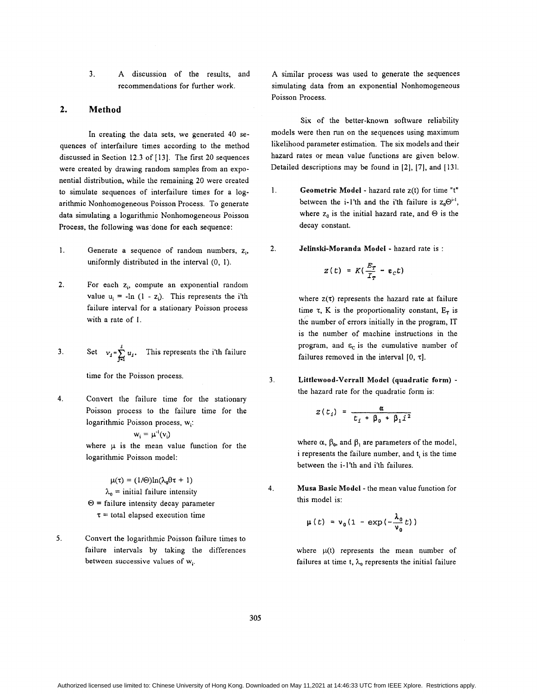Authorized licensed use limited to: Chinese University of Hong Kong. Downloaded on May 11,2021 at 14:46:33 UTC from IEEE Xplore. Restrictions apply.

3. **A** discussion of the results, and recommendations for further work.

## **2. Method**

In creating the data sets, we generated 40 sequences of interfailure times according to the method discussed in Section 12.3 of [ 131. The first 20 sequences were created by drawing random samples from an exponential distribution, while the remaining 20 were created to simulate sequences of interfailure times for a logarithmic Nonhomogeneous Poisson Process. To generate data simulating a logarithmic Nonhomogeneous Poisson Process, the following was 'done for each sequence:

- 1. Generate a sequence of random numbers, z<sub>i</sub>, uniformly distributed in the interval (0, I).
- 2. **For each z<sub>i</sub>, compute an exponential random** value  $u_i = -\ln(1 - z_i)$ . This represents the i'th failure interval for a stationary Poisson process with a rate of 1.
- 3. Set  $v_1 = \sum_{i=1}^{1} u_i$ . This represents the i'th failure

time for the Poisson process.

**4.** Convert the failure time for the stationary Poisson process to the failure time for the logarithmic Poisson process, wi:

$$
w_i = \mu^{-1}(v_i)
$$

where  $\mu$  is the mean value function for the logarithmic Poisson model:

 $\mu(\tau) = (1/\Theta)\ln(\lambda_0\Theta\tau + 1)$  $\lambda_0$  = initial failure intensity  $\Theta$  = failure intensity decay parameter  $\tau$  = total elapsed execution time

**5.** Convert the logarithmic Poisson failure times to failure intervals by taking the differences between successive values of  $w_i$ .

**A** similar process was used to generate the sequences simulating data from an exponential Nonhomogeneous Poisson Process.

Six of the better-known software reliability models were then run on the sequences using maximum likelihood parameter estimation. The six models and their hazard rates or mean value functions are given below. Detailed descriptions may be found in **[2],** [7], and [ 131.

- 1. **Geometric Model**  hazard rate z(t) for time "t" between the i-1'th and the i'th failure is  $z_0 \Theta^{i-1}$ , where  $z_0$  is the initial hazard rate, and  $\Theta$  is the decay constant.
- 2. **Jelinski-Moranda Model**  hazard rate is :

$$
z(t) = K(\frac{E_T}{T_T} - \varepsilon_c t)
$$

where  $z(\tau)$  represents the hazard rate at failure time  $\tau$ , K is the proportionality constant,  $E_{\tau}$  is the number of errors initially in the program, IT is the number of machine instructions in the program, and  $\varepsilon_c$  is the cumulative number of failures removed in the interval  $[0, \tau]$ .

**3. Littlemood-Verrall Model (quadratic form)**  the hazard rate for the quadratic form is:

$$
z(t_i) = \frac{\alpha}{t_i + \beta_0 + \beta_1 i^2}
$$

where  $\alpha$ ,  $\beta_0$ , and  $\beta_1$  are parameters of the model, i represents the failure number, and t<sub>i</sub> is the time between the i-l'th and i'th failures.

**4. Musa Basic Modcl** - the mean value function for this model is:

$$
\mu(t) = v_0(1 - \exp(-\frac{\lambda_0}{v_0}t))
$$

where  $\mu(t)$  represents the mean number of failures at time t,  $\lambda_0$  represents the initial failure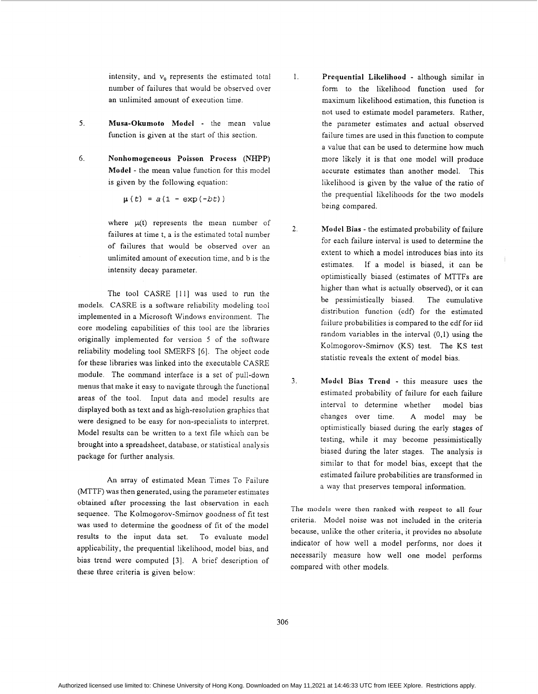intensity, and  $v_0$  represents the estimated total number of failures that would be observed over an unlimited amount of execution time.

- **5. Musa-Okumoto Model**  the mean value function is given at the start of this section.
- 6. **Nonhomogeneous Poisson Process (NHPP) Model** - the mean value function for this model is given by the following equation:

$$
\mu(t) = a(1 - \exp(-bt))
$$

where  $\mu(t)$  represents the mean number of failures at time t, a is the estimated total number of failures that would be observed over an unlimited amount of execution time, and b is the intensity decay parameter.

The tool CASRE [11] was used to run the models. CASRE is a software reliability modeling tool implemented in a Microsoft Windows environment. The core modeling capabilities of this tool are the libraries originally implemented for version 5 of the software reliability modeling tool SMERFS 161. The object code for these libraries was linked into the executable CASRE module. The command interface is a set of pull-down menus that rnake it easy to navigate through the functional areas of the tool. Input data and model results are displayed both as text and as high-resolution graphics that were designed to be easy for non-specialists to interpret. Model results can be written to a text file which can be brought into a spreadsheet, database, or statistical analysis package for further analysis.

An array of estimated Mean Times To Failure (MTTF) was then generated, using the parameter estimates obtained after processing the last observation in each sequence. The Kolmogorov-Smirnov goodness of fit test was used to determine the goodness of fit of the model results to the input data set. To evaluate model applicability, the prequential likelihood, model bias, and bias trend were computed [3]. **A** brief description of these three criteria is given below:

1. **Prequentisl Liltelihood** - although similar in form to the likelihood function used for maximum likelihood estimation, this function is not used to estimate model parameters. Rather, the parameter estimates and actual observed failure times are used in this function to compute a value that can be used to determine how much more likely it is that one model will produce accurate estimates than another model. This likelihood is given by the value of the ratio of the prequential likelihoods for the two models being compared.

- **2. Model Bias**  the estimated probability of failure for each failure interval is used to determine the extent to which a model introduces bias into its estimates. If a model is biased, it can be optimistically biased (estimates of MTTFs are higher than what is actually observed), or it can be pessimistically biased. The cumulative distribution function (cdf) for the estimated failure probabilities is compared to the cdf for iid random variables in the interval (0,l) using the Kolmogorov-Smimov *(KS)* test. The KS test statistic reveals the extent of model bias.
- 3. **Model Bias Trend**  this measure uses the estimated probability of failure for each failure interval to determine whether model bias changes over time. **A** model may be optimistically biased during the early stages of testing, while it may become pessimistically biased during the later stages. The analysis is similar to that for model bias, except that the estimated failure probabilities are transformed in a way that preserves temporal information.

**The** models **were then ranked with respect to all** four criteria. Model noise was not included in the criteria because, unlike the other criteria, it provides no absolute indicator of how well a model performs, nor does it necessarily measure how well one model performs compared with other models.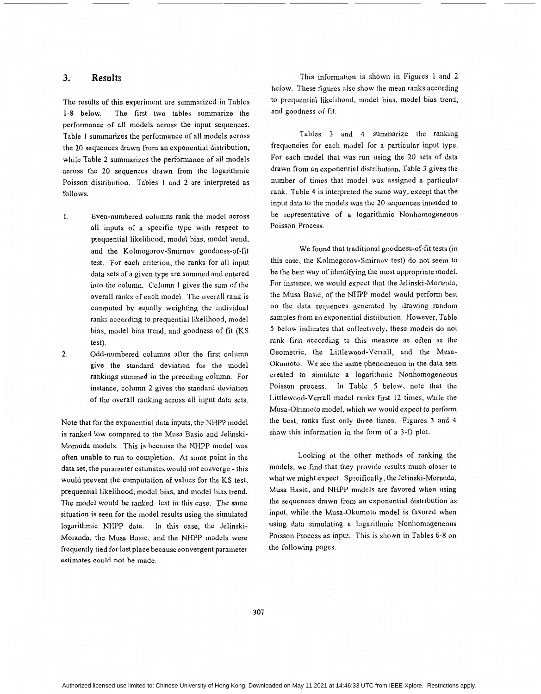## **3. Results**

The results of this experiment are summarized in Tables 1-8 below. The first two tables summarize the performance of all models across the input sequences. [Table 1](#page-4-0) summarizes the performance of all models across the 20 sequences drawn from an exponential distribution, while Table *2* summarizes the performance of all models across the 20 sequences drawn from the logarithmic Poisson distribution. [Tables](#page-4-0) **1** and *2* are interpreted as follows.

- I. Even-numbered columns rank the model across all inputs of a specific type with respect to prequential likelihood, model bias, model trend, and the Kolmogorov-Smimov goodness-of-fit test. For each criterion, the ranks for all input data sets of a given type are summed and entered into the column. Column *1* gives the sum of the overall ranks of each model. The overall rank is computed by equally weighting the individual ranks according to prequential likelihood, model bias, model bias trend, and goodness of fit (KS test).
- Odd-numbered columns after the first column give the standard deviation for the model rankings summed in the preceding column. For instance, column *2* gives the standard deviation of the overall ranking across all input data sets. 2.

Note that for the exponential data inputs, the NHPP model is ranked low compared to the Musa Basic and Jelinski-Moranda models. This is because the NHPP model was often unable to run to completion. At some point in the data set, the parameter estimates would not converge - this would prevent the computation of values for the KS test, prequential likelihood, model bias, and model bias trend. The model would be ranked **last** in this case. The same situation is seen for the model results using the simulated logarithmic NHPP data. In this case, the Jelinski-Moranda, the Musa Basic, and the NHPP models were frequently tied for last place because convergent parameter estimates could not be made.

This information is shown in [Figures 1](#page-5-0) and 2 below. These figures also show the mean ranks according to prequential likelihood, model bias, model bias trend, and goodness of fit.

Tables *3* and 4 summarize the ranking frequencies for each model for a particular input type. For each model that was run using the 20 sets of data drawn from an exponential distribution, Table **3** gives the number of times that model was assigned a particular rank. Table 4 is interpreted the same way, except that the input data to the models was the 20 sequences intended to be representative of a logarithmic Nonhomogeneous Poisson Process.

We found that traditional goodness-of-fit tests (in this case, the Kolmogorov-Smirnov test) do not seem to be the best way of identifying the most appropriate model. For instance, we would expect that the Jelinski-Moranda, the Musa Basic, of the NHPP model would perform best on the data sequences generated by drawing random samples from an exponential distribution. However, [Table](#page-7-0) [5](#page-7-0) below indicates that collectively, these models do not rank first according to this measure as often as the Geometric, the Littlewood-Verrall, and the Musa-Okumoto. We see the same phenomenon in the data sets created to simulate a logarithmic Nonhomogeneous Poisson process. In [Table 5](#page-7-0) below, note that the Littlewood-Verrall model ranks first **12** times, while the Musa-Okumoto model, which we would expect to perform the best, ranks first only three times. [Figures](#page-6-0) **3** and 4 show this information in the form of a **3-D** plot.

Looking at the other methods of ranking the models, we find that they provide results much closer to what we might expect. Specifically, the Jelinski-Moranda, Musa Basic, and NHPP models are favored when using the sequences drawn from an exponential distribution **as**  input, while the Musa-Okumoto model is favored when using data simulating a logarithmic Nonhomogeneous Poisson Process as input. This is shown in Tables *6-8* on the following pages.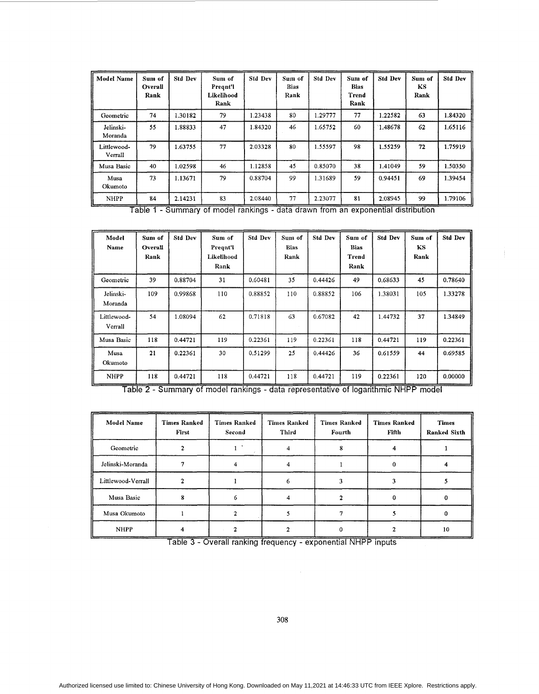<span id="page-4-0"></span>

| <b>Model Name</b>      | Sum of<br>Overall<br>Rank | <b>Std Dev</b> | Sum of<br>Pregnt'l<br>Likelihood<br>Rank | <b>Std Dev</b> | Sum of<br><b>Bias</b><br>Rank | <b>Std Dev</b> | Sum of<br>Bias<br>Trend<br>Rank | <b>Std Dev</b> | Sum of<br>KS<br>Rank | <b>Std Dev</b> |
|------------------------|---------------------------|----------------|------------------------------------------|----------------|-------------------------------|----------------|---------------------------------|----------------|----------------------|----------------|
| Geometric              | 74                        | 1.30182        | 79                                       | 1.23438        | 80                            | 1.29777        | 77                              | 1.22582        | 63                   | 1.84320        |
| Jelinski-<br>Moranda   | 55                        | 1.88833        | 47                                       | 1.84320        | 46                            | 1.65752        | 60                              | 1.48678        | 62                   | 1.65116        |
| Littlewood-<br>Verrall | 79                        | 1.63755        | 77                                       | 2.03328        | 80                            | 1.55597        | 98                              | 1.55259        | 72                   | 1.75919        |
| Musa Basic             | 40                        | 1.02598        | 46                                       | 1.12858        | 45                            | 0.85070        | 38                              | 1.41049        | 59                   | 1.50350        |
| Musa<br>Okumoto        | 73                        | 1.13671        | 79                                       | 0.88704        | 99                            | 1.31689        | 59                              | 0.94451        | 69                   | 1.39454        |
| <b>NHPP</b>            | 84                        | 2.14231        | 83                                       | 2.08440        | 77                            | 2.23077        | 81                              | 2.08945        | 99                   | 1.79106        |

Table 1 - Summary of model rankings - data drawn from an exponential distribution 'ummary of model rankings - data drawn from

| Model<br>Name          | Sum of<br>Overall<br>Rank | <b>Std Dev</b> | Sum of<br>Pregnt'l<br>Likelihood<br>Rank                                            | <b>Std Dev</b> | Sum of<br>Bias<br>Rank | <b>Std Dev</b> | Sum of<br><b>Bias</b><br>Trend<br>Rank | <b>Std Dev</b> | Sum of<br>KS<br>Rank | <b>Std Dev</b> |
|------------------------|---------------------------|----------------|-------------------------------------------------------------------------------------|----------------|------------------------|----------------|----------------------------------------|----------------|----------------------|----------------|
| Geometric              | 39                        | 0.88704        | 31                                                                                  | 0.60481        | 35                     | 0.44426        | 49                                     | 0.68633        | 45                   | 0.78640        |
| Jelinski-<br>Moranda   | 109                       | 0.99868        | 110                                                                                 | 0.88852        | 110                    | 0.88852        | 106                                    | 1.38031        | 105                  | 1.33278        |
| Littlewood-<br>Verrall | 54                        | 1.08094        | 62                                                                                  | 0.71818        | 63                     | 0.67082        | 42                                     | 1.44732        | 37                   | 1.34849        |
| Musa Basic             | 118                       | 0.44721        | 119                                                                                 | 0.22361        | 119                    | 0.22361        | 118                                    | 0.44721        | 119                  | 0.22361        |
| Musa<br>Okumoto        | 21                        | 0.22361        | 30                                                                                  | 0.51299        | 25                     | 0.44426        | 36                                     | 0.61559        | 44                   | 0.69585        |
| <b>NHPP</b>            | 118                       | 0.44721        | 118                                                                                 | 0.44721        | 118                    | 0.44721        | 119                                    | 0.22361        | 120                  | 0.00000        |
|                        |                           |                | Table 2 - Summary of model rankings - data representative of logarithmic NHPP model |                |                        |                |                                        |                |                      |                |

| Model Name         | <b>Times Ranked</b><br>First | <b>Times Ranked</b><br>Second | <b>Times Ranked</b><br>Third | <b>Times Ranked</b><br>Fourth | <b>Times Ranked</b><br>Fifth | <b>Times</b><br>Ranked Sixth |
|--------------------|------------------------------|-------------------------------|------------------------------|-------------------------------|------------------------------|------------------------------|
| Geometric          |                              |                               |                              |                               |                              |                              |
| Jelinski-Moranda   |                              |                               |                              |                               |                              |                              |
| Littlewood-Verrall |                              |                               |                              |                               |                              |                              |
| Musa Basic         |                              |                               |                              |                               |                              |                              |
| Musa Okumoto       |                              |                               |                              |                               |                              |                              |
| <b>NHPP</b>        |                              |                               |                              |                               |                              | 10                           |

Table 3 - Overall ranking frequency - exponential NHPP inputs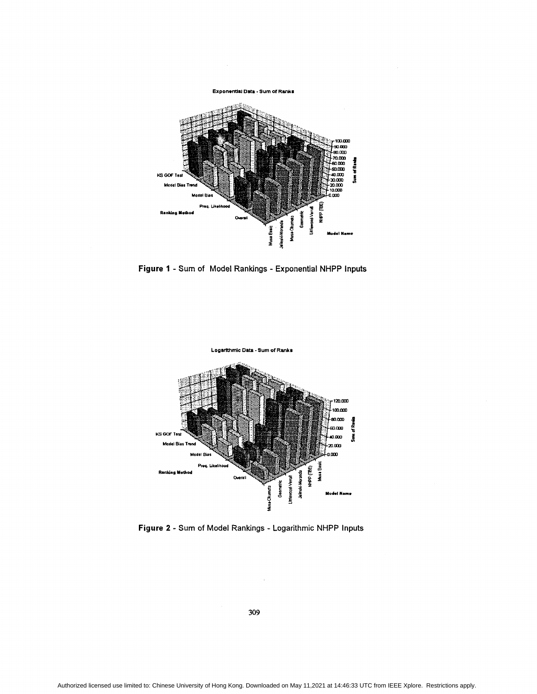<span id="page-5-0"></span>

**Figure 1** - **Sum of** Model Rankings - Exponential **NHPP** Inputs



**Figure 2** - **Sum of** Model Rankings - Logarithmic NHPP Inputs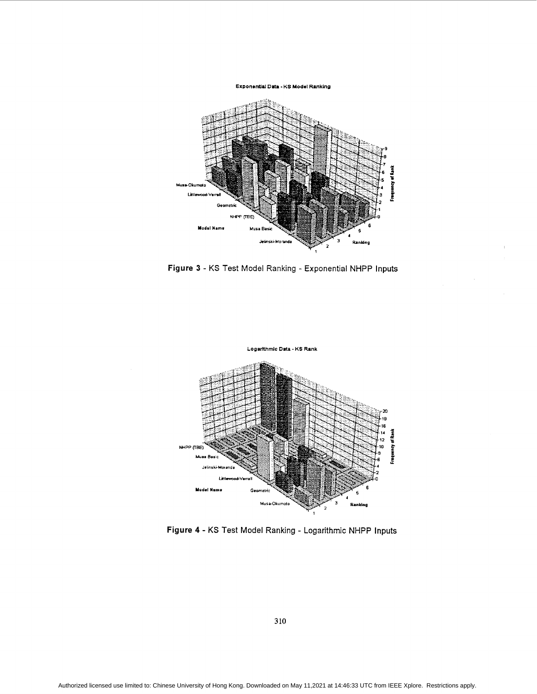#### **Exponential Data - KS Model Ranking**

<span id="page-6-0"></span>

**Figure 3** - **KS** Test Model Ranking - Exponential NHPP Inputs



**Figure 4** - **KS** Test Model Ranking - Logarithmic NHPP Inputs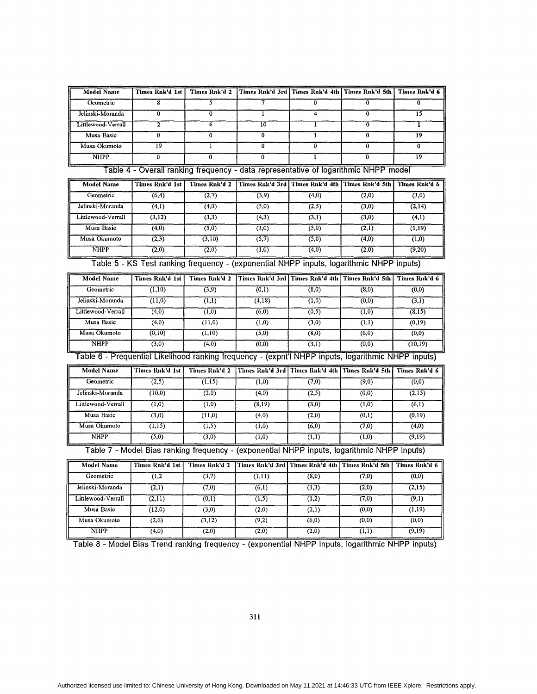<span id="page-7-0"></span>

| <b>Model Name</b>  | Times Rnk'd 1st |    | Times Rnk'd 2   Times Rnk'd 3rd   Times Rnk'd 4th   Times Rnk'd 5th   Times Rnk'd 6 |    |
|--------------------|-----------------|----|-------------------------------------------------------------------------------------|----|
| Geometric          |                 |    |                                                                                     |    |
| Jelinski-Moranda   |                 |    |                                                                                     |    |
| Littlewood-Verrall |                 | 10 |                                                                                     |    |
| Musa Basic         |                 |    |                                                                                     |    |
| Musa Okumoto       | 19              |    |                                                                                     |    |
| <b>NHPP</b>        |                 |    |                                                                                     | 19 |

Table 4 - Overall ranking frequency - data representative of logarithmic NHPP model

| <b>Model Name</b>  | Times Rnk'd 1st | Times Rnk'd 2 | Times Rnk'd 3rd   Times Rnk'd 4th   Times Rnk'd 5th |       |       | Times Rnk'd 6 |
|--------------------|-----------------|---------------|-----------------------------------------------------|-------|-------|---------------|
| Geometric          | (6, 4)          | (2,7)         | (3,9)                                               | (4,0) | (2,0) | (3,0)         |
| Jelinski-Moranda   | (4,1)           | (4,0)         | (5,0)                                               | (2,5) | (3,0) | (2, 14)       |
| Littlewood-Verrall | (3,12)          | (3,3)         | (4,3)                                               | (3,1) | (3,0) | (4,1)         |
| Musa Basic         | (4,0)           | (5,0)         | (3,0)                                               | (5,0) | (2,1) | (1,19)        |
| Musa Okumoto       | (2,3)           | (3,10)        | (5,7)                                               | (5,0) | (4,0) | (1,0)         |
| <b>NHPP</b>        | (2,0)           | (2,0)         | (1,0)                                               | (4,0) | (2,0) | (9,20)        |

Table 5 - **KS** Test ranking frequency - (exponential NHPP inputs, logarithmic NHPP inputs)

| <b>Model Name</b>                                                                                   | Times Rnk'd 1st | Times Rnk'd 2 |        |       | Times Rnk'd 3rd   Times Rnk'd 4th   Times Rnk'd 5th | Times Rnk'd 6 |  |  |  |
|-----------------------------------------------------------------------------------------------------|-----------------|---------------|--------|-------|-----------------------------------------------------|---------------|--|--|--|
| Geometric                                                                                           | (1,10)          | (3,9)         | (0,1)  | (8,0) | (8,0)                                               | (0,0)         |  |  |  |
| Jelinski-Moranda                                                                                    | (11,0)          | (1,1)         | (4,18) | (1,0) | (0,0)                                               | (3,1)         |  |  |  |
| Littlewood-Verrall                                                                                  | (4,0)           | (1,0)         | (6,0)  | (0,5) | (1,0)                                               | (8,15)        |  |  |  |
| Musa Basic                                                                                          | (4,0)           | (11,0)        | (1,0)  | (3,0) | (1,1)                                               | (0,19)        |  |  |  |
| Musa Okumoto                                                                                        | (0,10)          | (1,10)        | (5,0)  | (8,0) | (6,0)                                               | (0,0)         |  |  |  |
| <b>NHPP</b>                                                                                         | (3,0)           | (4,0)         | (0,0)  | (3,1) | (0,0)                                               | (10, 19)      |  |  |  |
| Table 6 - Prequential Likelihood ranking frequency - (expnt'l NHPP inputs, logarithmic NHPP inputs) |                 |               |        |       |                                                     |               |  |  |  |
| <b>Model Name</b>                                                                                   | Times Rnk'd 1st | Times Rnk'd 2 |        |       | Times Rnk'd 3rd   Times Rnk'd 4th   Times Rnk'd 5th | Times Rnk'd 6 |  |  |  |
|                                                                                                     |                 |               |        |       |                                                     |               |  |  |  |

| <b>Model Name</b>  | Times Rnk'd 1st | Times Rnk'd 2 |        |       | Times Rnk'd 3rd   Times Rnk'd 4th   Times Rnk'd 5th | Times Rnk'd 6 |
|--------------------|-----------------|---------------|--------|-------|-----------------------------------------------------|---------------|
| Geometric          | (2,5)           | (1,15)        | (1,0)  | (7,0) | (9,0)                                               | (0,0)         |
| Jelinski-Moranda   | (10,0)          | (2,0)         | (4,0)  | (2,5) | (0,0)                                               | (2,15)        |
| Littlewood-Verrall | (1,0)           | (1,0)         | (8,19) | (3,0) | (1,0)                                               | (6,1)         |
| Musa Basic         | (3,0)           | (11,0)        | (4,0)  | (2,0) | (0,1)                                               | (0,19)        |
| Musa Okumoto       | (1,15)          | (1,5)         | (1,0)  | (6,0) | (7,0)                                               | (4,0)         |
| <b>NHPP</b>        | (5,0)           | (3,0)         | (1,0)  | (1,1) | (1,0)                                               | (9,19)        |

Table 7 - Model Bias ranking frequency - (exponential NHPP inputs, logarithmic NHPP inputs)

| <b>Model Name</b>  | Times Rnk'd 1st | Times Rnk'd 2 |        |       | Times Rnk'd 3rd   Times Rnk'd 4th   Times Rnk'd 5th | - Times Rnk'd 6 |
|--------------------|-----------------|---------------|--------|-------|-----------------------------------------------------|-----------------|
| Geometric          | (1,2)           | (3,7)         | (1,11) | (8,0) | (7,0)                                               | (0,0)           |
| Jelinski-Moranda   | (2,1)           | (7,0)         | (6,1)  | (1,3) | (2,0)                                               | (2,15)          |
| Littlewood-Verrall | (2,11)          | (0,1)         | (1,5)  | (1,2) | (7,0)                                               | (9,1)           |
| Musa Basic         | (12,0)          | (3,0)         | (2,0)  | (2,1) | (0,0)                                               | (1,19)          |
| Musa Okumoto       | (2,6)           | (3,12)        | (9,2)  | (6,0) | (0,0)                                               | (0,0)           |
| <b>NHPP</b>        | (4,0)           | (2,0)         | (2,0)  | (2,0) | (1,1)                                               | (9,19)          |

Table **8** - Model Bias Trend ranking frequency - (exponential NHPP inputs, logarithmic NHPP inputs)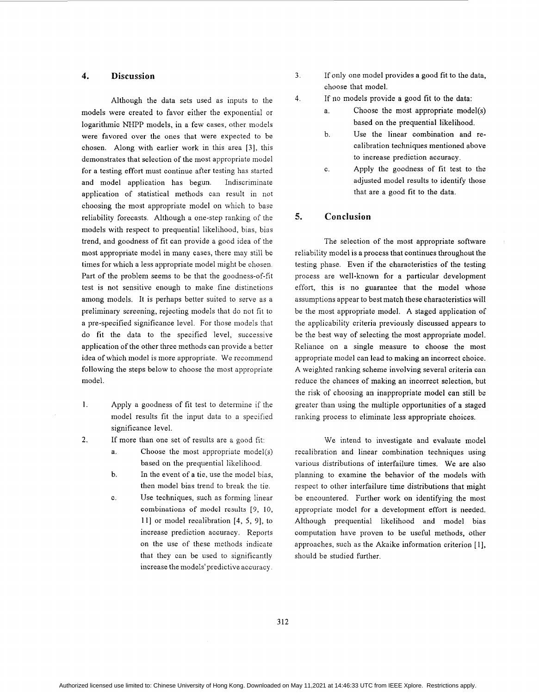## **4. Discussion**

Although the data sets used as inputs to the models were created to favor either the exponential or logarithmic NHPP models, in a few cases, other models were favored over the ones that were expected to be chosen. Along with earlier work in this area [3], this demonstrates that selection of the most appropriate model for a testing effort must continue after testing has started and model application has begun. Indiscriminate application of statistical methods can result in not choosing the most appropriate model on which to base reliability forecasts. Although a one-step ranking of the models with respect to prequential likelihood, bias, bias trend, and goodness of fit can provide a good idea of the most appropriate model in many cases, there may still be times for which a less appropriate model might be chosen. Part of the problem seems to be that the goodness-of-fit test is not sensitive enough to make fine distinctions among models. It is perhaps better suited to serve as a preliminary screening, rejecting models that do not fit to a pre-specified significance level. For those models that do fit the data to the specified level, successive application of the other three methods can provide a better idea of which model is more appropriate. We recommend following the steps below to choose the most appropriate model.

- 1. Apply a goodness of fit test to determine if the model results fit the input data to a specified significance level.
- If more than one set of results are a good fit: *2.* 
	- a. Choose the most appropriate model(s) based on the prequential likelihood.
	- In the event of a tie, use the model bias, then model bias trend to break the tie. b.
	- Use techniques, such as forming linear combinations of model results [9, 10, 111 or model recalibration **[4,** 5, 91, to increase prediction accuracy. Reports on the use of these methods indicate that they can be used to significantly increase the models' predictive accuracy. C.
- **3.** If only one model provides a good fit to the data, choose that model.
	- If **110** models provide a good fit to the data:
		- a. Choose the most appropriate model(s) based on the prequential likelihood.
		- b. Use the linear combination and recalibration techniques mentioned above to increase prediction accuracy.
		- Apply the goodness of fit test to the adjusted model results to identify those that are a good fit to the data. C.

## *5.* **Conclusion**

**4.** 

The selection of the most appropriate software reliability model is a process that continues throughout the testing phase. Even if the characteristics of the testing process are well-known for a particular development effort, this is no guarantee that the model whose assumptions appear to best match these characteristics will be the most appropriate model. A staged application of the applicability criteria previously discussed appears to be the best way of selecting the most appropriate model. Reliance on a single measure to choose the most appropriate model can lead to making an incorrect choice. **A** weighted ranking scheme involving several criteria can reduce the chances of making an incorrect selection, but the risk of choosing an inappropriate model can still be greater than using the multiple opportunities of a staged ranking process to eliminate less appropriate choices.

We intend to investigate and evaluate model recalibration and linear combination techniques using various distributions of interfailure times. We are also planning to examine the behavior of the models with respect to other interfailure time distributions that might be encountered. Further work on identifying the most appropriate model for a development effort is needed. Although prequential likelihood and model bias computation have proven to be useful methods, other approaches, such as the Akaike information criterion [ 11, should be studied further.